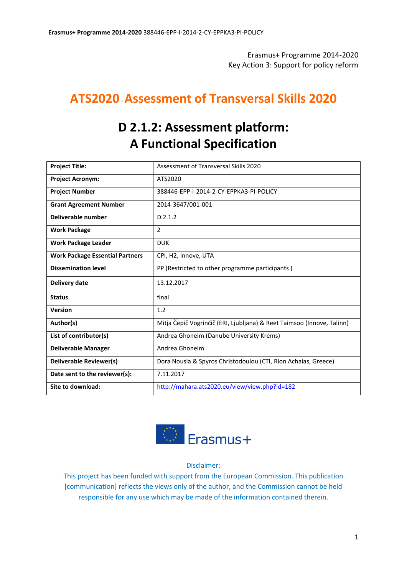Erasmus+ Programme 2014-2020 Key Action 3: Support for policy reform

# **ATS2020**-**Assessment of Transversal Skills 2020**

# **D 2.1.2: Assessment platform: A Functional Specification**

| <b>Project Title:</b>                  | Assessment of Transversal Skills 2020                                  |
|----------------------------------------|------------------------------------------------------------------------|
| <b>Project Acronym:</b>                | ATS2020                                                                |
| <b>Project Number</b>                  | 388446-EPP-I-2014-2-CY-EPPKA3-PI-POLICY                                |
| <b>Grant Agreement Number</b>          | 2014-3647/001-001                                                      |
| Deliverable number                     | D.2.1.2                                                                |
| <b>Work Package</b>                    | $\overline{2}$                                                         |
| <b>Work Package Leader</b>             | <b>DUK</b>                                                             |
| <b>Work Package Essential Partners</b> | CPI, H2, Innove, UTA                                                   |
| <b>Dissemination level</b>             | PP (Restricted to other programme participants)                        |
| Delivery date                          | 13.12.2017                                                             |
| <b>Status</b>                          | final                                                                  |
| <b>Version</b>                         | 1.2                                                                    |
| Author(s)                              | Mitja Čepič Vogrinčič (ERI, Ljubljana) & Reet Taimsoo (Innove, Talinn) |
| List of contributor(s)                 | Andrea Ghoneim (Danube University Krems)                               |
| <b>Deliverable Manager</b>             | Andrea Ghoneim                                                         |
| Deliverable Reviewer(s)                | Dora Nousia & Spyros Christodoulou (CTI, Rion Achaias, Greece)         |
| Date sent to the reviewer(s):          | 7.11.2017                                                              |
| Site to download:                      | http://mahara.ats2020.eu/view/view.php?id=182                          |



Disclaimer:

This project has been funded with support from the European Commission. This publication [communication] reflects the views only of the author, and the Commission cannot be held responsible for any use which may be made of the information contained therein.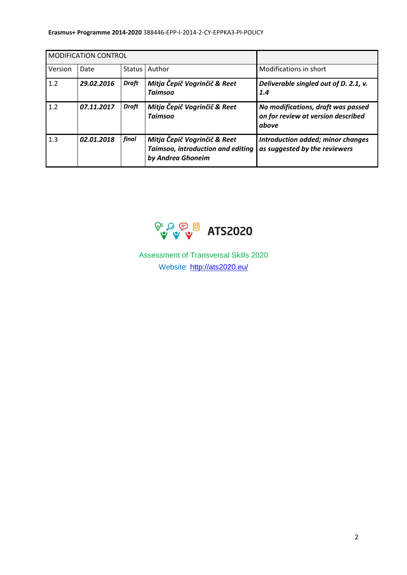#### **Erasmus+ Programme 2014-2020** 388446-EPP-I-2014-2-CY-EPPΚA3-PI-POLICY

| <b>MODIFICATION CONTROL</b> |            |              |                                                                                        |                                                                                   |
|-----------------------------|------------|--------------|----------------------------------------------------------------------------------------|-----------------------------------------------------------------------------------|
| Version                     | Date       | Status       | Author                                                                                 | Modifications in short                                                            |
| 1.2                         | 29.02.2016 | <b>Draft</b> | Mitja Čepič Vogrinčič & Reet<br><b>Taimsoo</b>                                         | Deliverable singled out of D. 2.1, v.<br>1.4                                      |
| 1.2                         | 07.11.2017 | <b>Draft</b> | Mitja Čepič Vogrinčič & Reet<br><b>Taimsoo</b>                                         | No modifications, draft was passed<br>on for review at version described<br>above |
| 1.3                         | 02.01.2018 | final        | Mitja Čepič Vogrinčič & Reet<br>Taimsoo, introduction and editing<br>by Andrea Ghoneim | Introduction added; minor changes<br>as suggested by the reviewers                |



Assessment of Transversal Skills 2020 Website:<http://ats2020.eu/>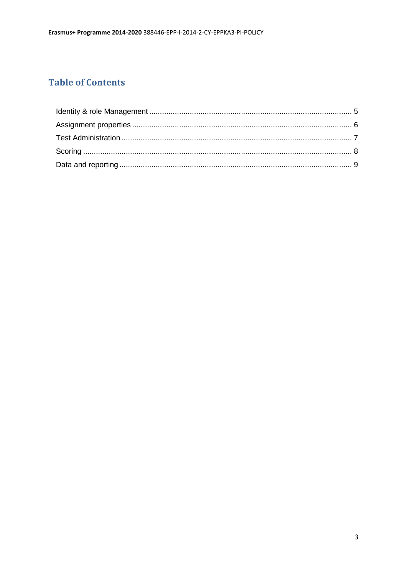# **Table of Contents**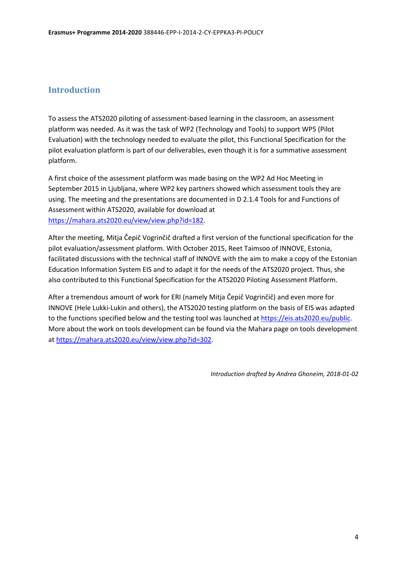#### **Introduction**

To assess the ATS2020 piloting of assessment-based learning in the classroom, an assessment platform was needed. As it was the task of WP2 (Technology and Tools) to support WP5 (Pilot Evaluation) with the technology needed to evaluate the pilot, this Functional Specification for the pilot evaluation platform is part of our deliverables, even though it is for a summative assessment platform.

A first choice of the assessment platform was made basing on the WP2 Ad Hoc Meeting in September 2015 in Ljubljana, where WP2 key partners showed which assessment tools they are using. The meeting and the presentations are documented in D 2.1.4 Tools for and Functions of Assessment within ATS2020, available for download at [https://mahara.ats2020.eu/view/view.php?id=182.](https://mahara.ats2020.eu/view/view.php?id=182)

After the meeting, Mitja Čepič Vogrinčič drafted a first version of the functional specification for the pilot evaluation/assessment platform. With October 2015, Reet Taimsoo of INNOVE, Estonia, facilitated discussions with the technical staff of INNOVE with the aim to make a copy of the Estonian Education Information System EIS and to adapt it for the needs of the ATS2020 project. Thus, she also contributed to this Functional Specification for the ATS2020 Piloting Assessment Platform.

After a tremendous amount of work for ERI (namely Mitja Čepič Vogrinčič) and even more for INNOVE (Hele Lukki-Lukin and others), the ATS2020 testing platform on the basis of EIS was adapted to the functions specified below and the testing tool was launched a[t https://eis.ats2020.eu/public.](https://eis.ats2020.eu/public) More about the work on tools development can be found via the Mahara page on tools development at [https://mahara.ats2020.eu/view/view.php?id=302.](https://mahara.ats2020.eu/view/view.php?id=302)

*Introduction drafted by Andrea Ghoneim, 2018-01-02*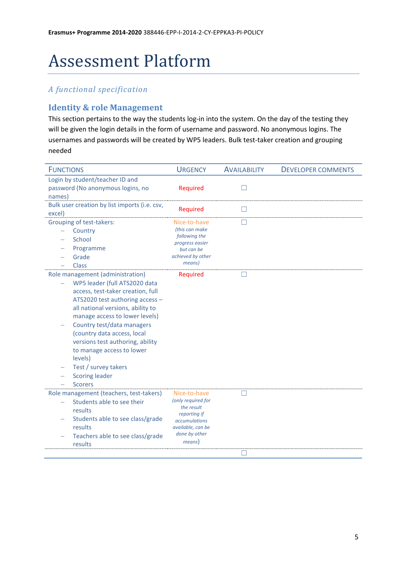# Assessment Platform

### *A functional specification*

#### <span id="page-4-0"></span>**Identity & role Management**

This section pertains to the way the students log-in into the system. On the day of the testing they will be given the login details in the form of username and password. No anonymous logins. The usernames and passwords will be created by WP5 leaders. Bulk test-taker creation and grouping needed

| <b>FUNCTIONS</b>                                       | <b>URGENCY</b>                       | <b>AVAILABILITY</b> | <b>DEVELOPER COMMENTS</b> |
|--------------------------------------------------------|--------------------------------------|---------------------|---------------------------|
| Login by student/teacher ID and                        |                                      |                     |                           |
| password (No anonymous logins, no                      | Required                             |                     |                           |
| names)                                                 |                                      |                     |                           |
| Bulk user creation by list imports (i.e. csv,          | Required                             | $\mathsf{L}$        |                           |
| excel)                                                 |                                      |                     |                           |
| Grouping of test-takers:                               | Nice-to-have                         | П                   |                           |
| Country                                                | (this can make                       |                     |                           |
| School                                                 | following the<br>progress easier     |                     |                           |
| Programme                                              | but can be                           |                     |                           |
| Grade                                                  | achieved by other                    |                     |                           |
| <b>Class</b>                                           | means)                               |                     |                           |
| Role management (administration)                       | <b>Required</b>                      |                     |                           |
| WP5 leader (full ATS2020 data                          |                                      |                     |                           |
| access, test-taker creation, full                      |                                      |                     |                           |
| ATS2020 test authoring access -                        |                                      |                     |                           |
| all national versions, ability to                      |                                      |                     |                           |
| manage access to lower levels)                         |                                      |                     |                           |
| Country test/data managers                             |                                      |                     |                           |
| (country data access, local                            |                                      |                     |                           |
| versions test authoring, ability                       |                                      |                     |                           |
| to manage access to lower                              |                                      |                     |                           |
| levels)                                                |                                      |                     |                           |
| Test / survey takers                                   |                                      |                     |                           |
| <b>Scoring leader</b>                                  |                                      |                     |                           |
| <b>Scorers</b>                                         |                                      |                     |                           |
| Role management (teachers, test-takers)                | Nice-to-have                         | ГΙ                  |                           |
| Students able to see their<br>$\overline{\phantom{0}}$ | (only required for                   |                     |                           |
| results                                                | the result                           |                     |                           |
| Students able to see class/grade                       | reporting if<br><i>accumulations</i> |                     |                           |
| results                                                | available, can be                    |                     |                           |
| Teachers able to see class/grade                       | done by other                        |                     |                           |
| results                                                | means)                               |                     |                           |
|                                                        |                                      | $\mathbf{I}$        |                           |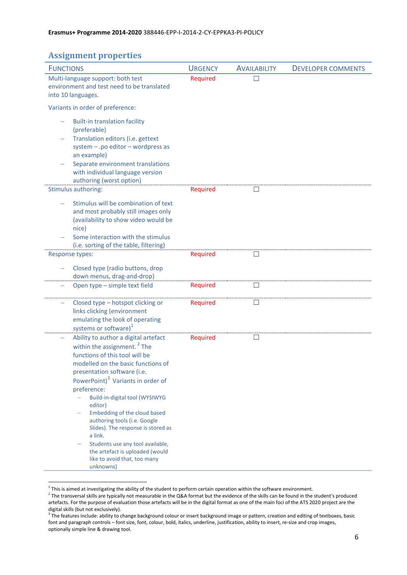## <span id="page-5-0"></span>**Assignment properties**

**.** 

| <b>FUNCTIONS</b>                                                                                                                                                                                                                                                                                                                                                                                                                                                                                                                         | <b>URGENCY</b> | <b>AVAILABILITY</b> | <b>DEVELOPER COMMENTS</b> |
|------------------------------------------------------------------------------------------------------------------------------------------------------------------------------------------------------------------------------------------------------------------------------------------------------------------------------------------------------------------------------------------------------------------------------------------------------------------------------------------------------------------------------------------|----------------|---------------------|---------------------------|
| Multi-language support: both test<br>environment and test need to be translated<br>into 10 languages.                                                                                                                                                                                                                                                                                                                                                                                                                                    | Required       | П                   |                           |
| Variants in order of preference:                                                                                                                                                                                                                                                                                                                                                                                                                                                                                                         |                |                     |                           |
| <b>Built-in translation facility</b><br>(preferable)<br>Translation editors (i.e. gettext<br>system $-$ .po editor $-$ wordpress as<br>an example)<br>Separate environment translations<br>with individual language version<br>authoring (worst option)                                                                                                                                                                                                                                                                                  |                |                     |                           |
| Stimulus authoring:                                                                                                                                                                                                                                                                                                                                                                                                                                                                                                                      | Required       | □                   |                           |
| Stimulus will be combination of text<br>and most probably still images only<br>(availability to show video would be<br>nice)<br>Some interaction with the stimulus<br>(i.e. sorting of the table, filtering)                                                                                                                                                                                                                                                                                                                             |                |                     |                           |
| Response types:                                                                                                                                                                                                                                                                                                                                                                                                                                                                                                                          | Required       | $\Box$              |                           |
| Closed type (radio buttons, drop<br>down menus, drag-and-drop)                                                                                                                                                                                                                                                                                                                                                                                                                                                                           |                |                     |                           |
| Open type - simple text field                                                                                                                                                                                                                                                                                                                                                                                                                                                                                                            | Required       | П                   |                           |
| Closed type - hotspot clicking or<br>-<br>links clicking (environment<br>emulating the look of operating<br>systems or software) <sup>1</sup>                                                                                                                                                                                                                                                                                                                                                                                            | Required       | Ш                   |                           |
| Ability to author a digital artefact<br>within the assignment. <sup>2</sup> The<br>functions of this tool will be<br>modelled on the basic functions of<br>presentation software (i.e.<br>PowerPoint) <sup>3</sup> Variants in order of<br>preference:<br>Build-in-digital tool (WYSIWYG<br>editor)<br>Embedding of the cloud based<br>authoring tools (i.e. Google<br>Slides). The response is stored as<br>a link.<br>Students use any tool available,<br>the artefact is uploaded (would<br>like to avoid that, too many<br>unknowns) | Required       | □                   |                           |

 $1$  This is aimed at investigating the ability of the student to perform certain operation within the software environment.

 $^2$  The transversal skills are typically not measurable in the Q&A format but the evidence of the skills can be found in the student's produced artefacts. For the purpose of evaluation those artefacts will be in the digital format as one of the main foci of the ATS 2020 project are the digital skills (but not exclusively).

 $3$  The features include: ability to change background colour or insert background image or pattern, creation and editing of textboxes, basic font and paragraph controls – font size, font, colour, bold, italics, underline, justification, ability to insert, re-size and crop images, optionally simple line & drawing tool.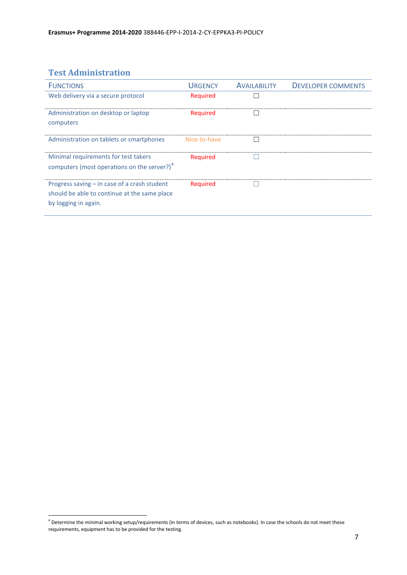# <span id="page-6-0"></span>**Test Administration**

<span id="page-6-1"></span>

| <b>FUNCTIONS</b>                                                     | <b>URGENCY</b> | <b>AVAILABILITY</b> | <b>DEVELOPER COMMENTS</b> |
|----------------------------------------------------------------------|----------------|---------------------|---------------------------|
| Web delivery via a secure protocol                                   | Required       |                     |                           |
| Administration on desktop or laptop                                  | Required       |                     |                           |
| computers                                                            |                |                     |                           |
| Administration on tablets or smartphones                             | Nice-to-have   |                     |                           |
| Minimal requirements for test takers                                 | Required       |                     |                           |
| computers (most operations on the server?) <sup>4</sup>              |                |                     |                           |
| Progress saving $-$ in case of a crash student                       | Required       |                     |                           |
| should be able to continue at the same place<br>by logging in again. |                |                     |                           |

 4 Determine the minimal working setup/requirements (in terms of devices, such as notebooks). In case the schools do not meet these requirements, equipment has to be provided for the testing.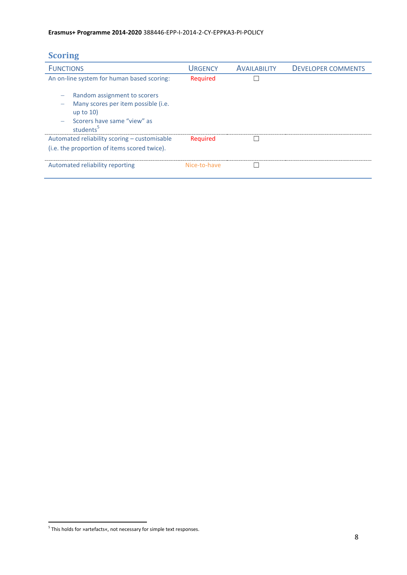## **Scoring**

<span id="page-7-0"></span>

| <b>FUNCTIONS</b>                                                                                                                          | <b>URGENCY</b> | <b>AVAILABILITY</b> | <b>DEVELOPER COMMENTS</b> |
|-------------------------------------------------------------------------------------------------------------------------------------------|----------------|---------------------|---------------------------|
| An on-line system for human based scoring:                                                                                                | Required       |                     |                           |
| Random assignment to scorers<br>Many scores per item possible (i.e.<br>up to $10$<br>Scorers have same "view" as<br>students <sup>5</sup> |                |                     |                           |
| Automated reliability scoring - customisable                                                                                              | Required       |                     |                           |
| (i.e. the proportion of items scored twice).                                                                                              |                |                     |                           |
| Automated reliability reporting                                                                                                           | Nice-to-have   |                     |                           |

 5 This holds for »artefacts«, not necessary for simple text responses.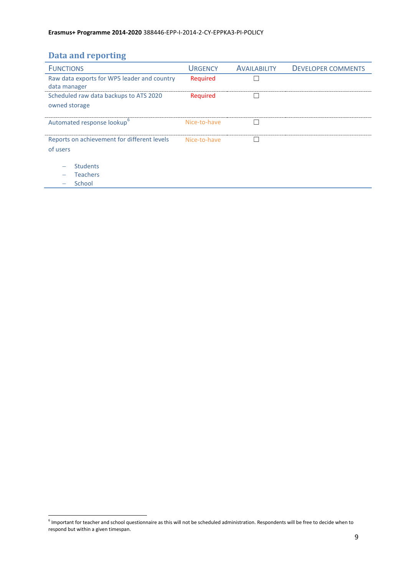## **Data and reporting**

| <b>FUNCTIONS</b>                            | <b>URGENCY</b> | <b>AVAILABILITY</b> | <b>DEVELOPER COMMENTS</b> |
|---------------------------------------------|----------------|---------------------|---------------------------|
| Raw data exports for WP5 leader and country | Required       |                     |                           |
| data manager                                |                |                     |                           |
| Scheduled raw data backups to ATS 2020      | Required       |                     |                           |
| owned storage                               |                |                     |                           |
|                                             |                |                     |                           |
| Automated response lookup <sup>6</sup>      | Nice-to-have   |                     |                           |
|                                             |                |                     |                           |
| Reports on achievement for different levels | Nice-to-have   |                     |                           |
| of users                                    |                |                     |                           |
|                                             |                |                     |                           |
| <b>Students</b>                             |                |                     |                           |
| <b>Teachers</b>                             |                |                     |                           |
| School                                      |                |                     |                           |

 6 Important for teacher and school questionnaire as this will not be scheduled administration. Respondents will be free to decide when to respond but within a given timespan.